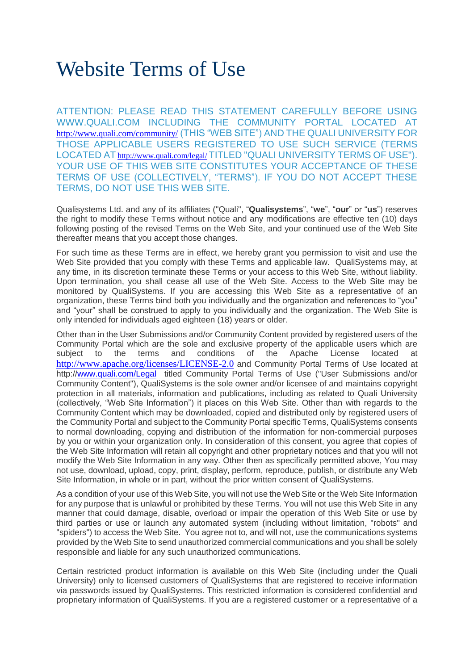# Website Terms of Use

ATTENTION: PLEASE READ THIS STATEMENT CAREFULLY BEFORE USING WWW.QUALI.COM INCLUDING THE COMMUNITY PORTAL LOCATED AT <http://www.quali.com/community/> (THIS "WEB SITE") AND THE QUALI UNIVERSITY FOR THOSE APPLICABLE USERS REGISTERED TO USE SUCH SERVICE (TERMS LOCATED AT <http://www.quali.com/legal/> TITLED "QUALI UNIVERSITY TERMS OF USE"). YOUR USE OF THIS WEB SITE CONSTITUTES YOUR ACCEPTANCE OF THESE TERMS OF USE (COLLECTIVELY, "TERMS"). IF YOU DO NOT ACCEPT THESE TERMS, DO NOT USE THIS WEB SITE.

Qualisystems Ltd. and any of its affiliates ("Quali", "**Qualisystems**", "**we**", "**our**" or "**us**") reserves the right to modify these Terms without notice and any modifications are effective ten (10) days following posting of the revised Terms on the Web Site, and your continued use of the Web Site thereafter means that you accept those changes.

For such time as these Terms are in effect, we hereby grant you permission to visit and use the Web Site provided that you comply with these Terms and applicable law. QualiSystems may, at any time, in its discretion terminate these Terms or your access to this Web Site, without liability. Upon termination, you shall cease all use of the Web Site. Access to the Web Site may be monitored by QualiSystems. If you are accessing this Web Site as a representative of an organization, these Terms bind both you individually and the organization and references to "you" and "your" shall be construed to apply to you individually and the organization. The Web Site is only intended for individuals aged eighteen (18) years or older.

Other than in the User Submissions and/or Community Content provided by registered users of the Community Portal which are the sole and exclusive property of the applicable users which are subject to the terms and conditions of the Apache License located at <http://www.apache.org/licenses/LICENSE-2.0> and Community Portal Terms of Use located at http:/[/www.quali.com/Legal](http://www.quali.com/legal) titled Community Portal Terms of Use ("User Submissions and/or Community Content"), QualiSystems is the sole owner and/or licensee of and maintains copyright protection in all materials, information and publications, including as related to Quali University (collectively, "Web Site Information") it places on this Web Site. Other than with regards to the Community Content which may be downloaded, copied and distributed only by registered users of the Community Portal and subject to the Community Portal specific Terms, QualiSystems consents to normal downloading, copying and distribution of the information for non-commercial purposes by you or within your organization only. In consideration of this consent, you agree that copies of the Web Site Information will retain all copyright and other proprietary notices and that you will not modify the Web Site Information in any way. Other then as specifically permitted above, You may not use, download, upload, copy, print, display, perform, reproduce, publish, or distribute any Web Site Information, in whole or in part, without the prior written consent of QualiSystems.

As a condition of your use of this Web Site, you will not use the Web Site or the Web Site Information for any purpose that is unlawful or prohibited by these Terms. You will not use this Web Site in any manner that could damage, disable, overload or impair the operation of this Web Site or use by third parties or use or launch any automated system (including without limitation, "robots" and "spiders") to access the Web Site. You agree not to, and will not, use the communications systems provided by the Web Site to send unauthorized commercial communications and you shall be solely responsible and liable for any such unauthorized communications.

Certain restricted product information is available on this Web Site (including under the Quali University) only to licensed customers of QualiSystems that are registered to receive information via passwords issued by QualiSystems. This restricted information is considered confidential and proprietary information of QualiSystems. If you are a registered customer or a representative of a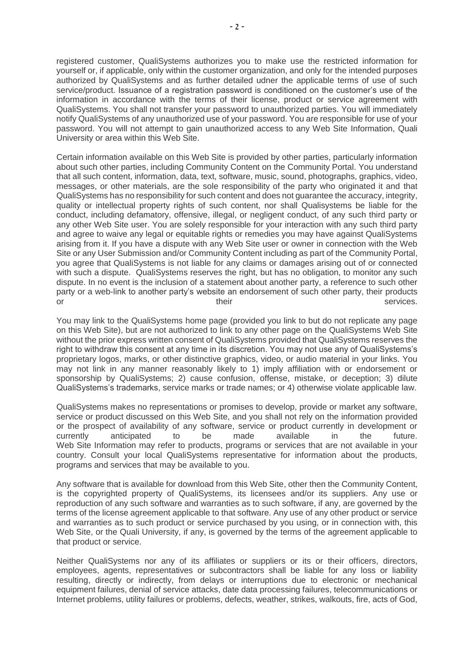registered customer, QualiSystems authorizes you to make use the restricted information for yourself or, if applicable, only within the customer organization, and only for the intended purposes authorized by QualiSystems and as further detailed udner the applicable terms of use of such service/product. Issuance of a registration password is conditioned on the customer's use of the information in accordance with the terms of their license, product or service agreement with QualiSystems. You shall not transfer your password to unauthorized parties. You will immediately notify QualiSystems of any unauthorized use of your password. You are responsible for use of your password. You will not attempt to gain unauthorized access to any Web Site Information, Quali University or area within this Web Site.

Certain information available on this Web Site is provided by other parties, particularly information about such other parties, including Community Content on the Community Portal. You understand that all such content, information, data, text, software, music, sound, photographs, graphics, video, messages, or other materials, are the sole responsibility of the party who originated it and that QualiSystems has no responsibility for such content and does not guarantee the accuracy, integrity, quality or intellectual property rights of such content, nor shall Qualisystems be liable for the conduct, including defamatory, offensive, illegal, or negligent conduct, of any such third party or any other Web Site user. You are solely responsible for your interaction with any such third party and agree to waive any legal or equitable rights or remedies you may have against QualiSystems arising from it. If you have a dispute with any Web Site user or owner in connection with the Web Site or any User Submission and/or Community Content including as part of the Community Portal, you agree that QualiSystems is not liable for any claims or damages arising out of or connected with such a dispute. QualiSystems reserves the right, but has no obligation, to monitor any such dispute. In no event is the inclusion of a statement about another party, a reference to such other party or a web-link to another party's website an endorsement of such other party, their products or their services. The services of their services of the services.

You may link to the QualiSystems home page (provided you link to but do not replicate any page on this Web Site), but are not authorized to link to any other page on the QualiSystems Web Site without the prior express written consent of QualiSystems provided that QualiSystems reserves the right to withdraw this consent at any time in its discretion. You may not use any of QualiSystems's proprietary logos, marks, or other distinctive graphics, video, or audio material in your links. You may not link in any manner reasonably likely to 1) imply affiliation with or endorsement or sponsorship by QualiSystems; 2) cause confusion, offense, mistake, or deception; 3) dilute QualiSystems's trademarks, service marks or trade names; or 4) otherwise violate applicable law.

QualiSystems makes no representations or promises to develop, provide or market any software, service or product discussed on this Web Site, and you shall not rely on the information provided or the prospect of availability of any software, service or product currently in development or currently anticipated to be made available in the future. Web Site Information may refer to products, programs or services that are not available in your country. Consult your local QualiSystems representative for information about the products, programs and services that may be available to you.

Any software that is available for download from this Web Site, other then the Community Content, is the copyrighted property of QualiSystems, its licensees and/or its suppliers. Any use or reproduction of any such software and warranties as to such software, if any, are governed by the terms of the license agreement applicable to that software. Any use of any other product or service and warranties as to such product or service purchased by you using, or in connection with, this Web Site, or the Quali University, if any, is governed by the terms of the agreement applicable to that product or service.

Neither QualiSystems nor any of its affiliates or suppliers or its or their officers, directors, employees, agents, representatives or subcontractors shall be liable for any loss or liability resulting, directly or indirectly, from delays or interruptions due to electronic or mechanical equipment failures, denial of service attacks, date data processing failures, telecommunications or Internet problems, utility failures or problems, defects, weather, strikes, walkouts, fire, acts of God,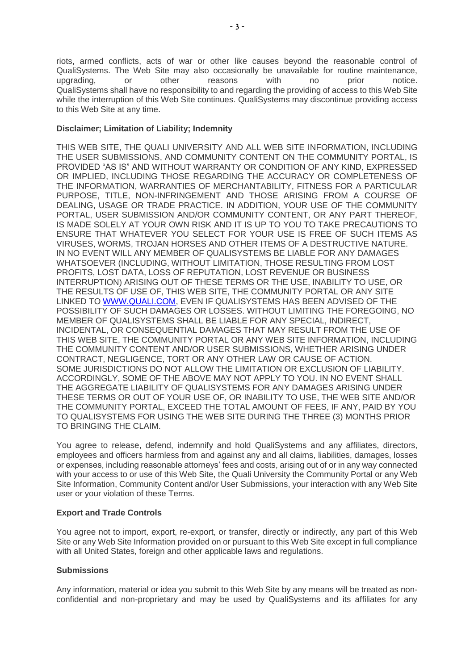riots, armed conflicts, acts of war or other like causes beyond the reasonable control of QualiSystems. The Web Site may also occasionally be unavailable for routine maintenance, upgrading, or other reasons with no prior notice. QualiSystems shall have no responsibility to and regarding the providing of access to this Web Site while the interruption of this Web Site continues. QualiSystems may discontinue providing access to this Web Site at any time.

## **Disclaimer; Limitation of Liability; Indemnity**

THIS WEB SITE, THE QUALI UNIVERSITY AND ALL WEB SITE INFORMATION, INCLUDING THE USER SUBMISSIONS, AND COMMUNITY CONTENT ON THE COMMUNITY PORTAL, IS PROVIDED "AS IS" AND WITHOUT WARRANTY OR CONDITION OF ANY KIND, EXPRESSED OR IMPLIED, INCLUDING THOSE REGARDING THE ACCURACY OR COMPLETENESS OF THE INFORMATION, WARRANTIES OF MERCHANTABILITY, FITNESS FOR A PARTICULAR PURPOSE, TITLE, NON-INFRINGEMENT AND THOSE ARISING FROM A COURSE OF DEALING, USAGE OR TRADE PRACTICE. IN ADDITION, YOUR USE OF THE COMMUNITY PORTAL, USER SUBMISSION AND/OR COMMUNITY CONTENT, OR ANY PART THEREOF, IS MADE SOLELY AT YOUR OWN RISK AND IT IS UP TO YOU TO TAKE PRECAUTIONS TO ENSURE THAT WHATEVER YOU SELECT FOR YOUR USE IS FREE OF SUCH ITEMS AS VIRUSES, WORMS, TROJAN HORSES AND OTHER ITEMS OF A DESTRUCTIVE NATURE. IN NO EVENT WILL ANY MEMBER OF QUALISYSTEMS BE LIABLE FOR ANY DAMAGES WHATSOEVER (INCLUDING, WITHOUT LIMITATION, THOSE RESULTING FROM LOST PROFITS, LOST DATA, LOSS OF REPUTATION, LOST REVENUE OR BUSINESS INTERRUPTION) ARISING OUT OF THESE TERMS OR THE USE, INABILITY TO USE, OR THE RESULTS OF USE OF, THIS WEB SITE, THE COMMUNITY PORTAL OR ANY SITE LINKED TO [WWW.QUALI.COM,](http://www.qualisystems.com/) EVEN IF QUALISYSTEMS HAS BEEN ADVISED OF THE POSSIBILITY OF SUCH DAMAGES OR LOSSES. WITHOUT LIMITING THE FOREGOING, NO MEMBER OF QUALISYSTEMS SHALL BE LIABLE FOR ANY SPECIAL, INDIRECT, INCIDENTAL, OR CONSEQUENTIAL DAMAGES THAT MAY RESULT FROM THE USE OF THIS WEB SITE, THE COMMUNITY PORTAL OR ANY WEB SITE INFORMATION, INCLUDING THE COMMUNITY CONTENT AND/OR USER SUBMISSIONS, WHETHER ARISING UNDER CONTRACT, NEGLIGENCE, TORT OR ANY OTHER LAW OR CAUSE OF ACTION. SOME JURISDICTIONS DO NOT ALLOW THE LIMITATION OR EXCLUSION OF LIABILITY. ACCORDINGLY, SOME OF THE ABOVE MAY NOT APPLY TO YOU. IN NO EVENT SHALL THE AGGREGATE LIABILITY OF QUALISYSTEMS FOR ANY DAMAGES ARISING UNDER THESE TERMS OR OUT OF YOUR USE OF, OR INABILITY TO USE, THE WEB SITE AND/OR THE COMMUNITY PORTAL, EXCEED THE TOTAL AMOUNT OF FEES, IF ANY, PAID BY YOU TO QUALISYSTEMS FOR USING THE WEB SITE DURING THE THREE (3) MONTHS PRIOR TO BRINGING THE CLAIM.

You agree to release, defend, indemnify and hold QualiSystems and any affiliates, directors, employees and officers harmless from and against any and all claims, liabilities, damages, losses or expenses, including reasonable attorneys' fees and costs, arising out of or in any way connected with your access to or use of this Web Site, the Quali University the Community Portal or any Web Site Information, Community Content and/or User Submissions, your interaction with any Web Site user or your violation of these Terms.

### **Export and Trade Controls**

You agree not to import, export, re-export, or transfer, directly or indirectly, any part of this Web Site or any Web Site Information provided on or pursuant to this Web Site except in full compliance with all United States, foreign and other applicable laws and regulations.

# **Submissions**

Any information, material or idea you submit to this Web Site by any means will be treated as nonconfidential and non-proprietary and may be used by QualiSystems and its affiliates for any